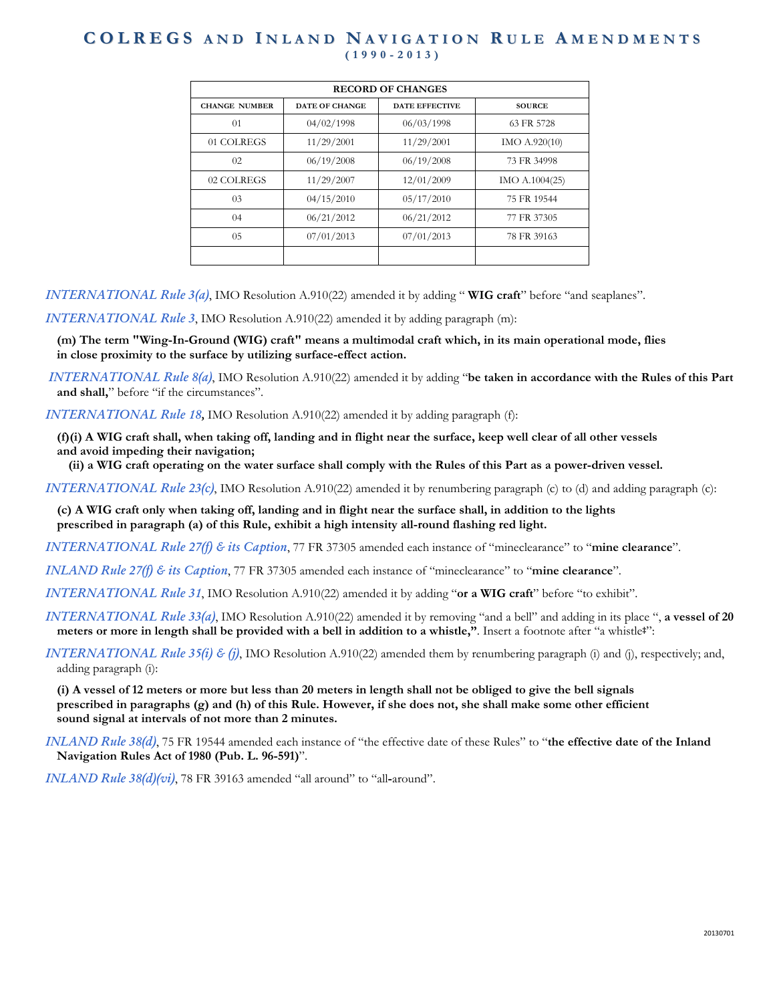| <b>RECORD OF CHANGES</b> |                       |                       |                |
|--------------------------|-----------------------|-----------------------|----------------|
| <b>CHANGE NUMBER</b>     | <b>DATE OF CHANGE</b> | <b>DATE EFFECTIVE</b> | <b>SOURCE</b>  |
| 01                       | 04/02/1998            | 06/03/1998            | 63 FR 5728     |
| 01 COLREGS               | 11/29/2001            | 11/29/2001            | IMO A.920(10)  |
| 02                       | 06/19/2008            | 06/19/2008            | 73 FR 34998    |
| 02 COLREGS               | 11/29/2007            | 12/01/2009            | IMO A.1004(25) |
| 03                       | 04/15/2010            | 05/17/2010            | 75 FR 19544    |
| $^{04}$                  | 06/21/2012            | 06/21/2012            | 77 FR 37305    |
| 05                       | 07/01/2013            | 07/01/2013            | 78 FR 39163    |
|                          |                       |                       |                |

*INTERNATIONAL Rule 3(a)*, IMO Resolution A.910(22) amended it by adding " **WIG craft**" before "and seaplanes".

*INTERNATIONAL Rule 3*, IMO Resolution A.910(22) amended it by adding paragraph (m):

**(m) The term "Wing-In-Ground (WIG) craft" means a multimodal craft which, in its main operational mode, flies in close proximity to the surface by utilizing surface-effect action.**

*INTERNATIONAL Rule 8(a)*, IMO Resolution A.910(22) amended it by adding "**be taken in accordance with the Rules of this Part and shall,**" before "if the circumstances".

*INTERNATIONAL Rule 18,* IMO Resolution A.910(22) amended it by adding paragraph (f):

**(f)(i) A WIG craft shall, when taking off, landing and in flight near the surface, keep well clear of all other vessels and avoid impeding their navigation;**

**(ii) a WIG craft operating on the water surface shall comply with the Rules of this Part as a power-driven vessel.**

*INTERNATIONAL Rule 23(c)*, IMO Resolution A.910(22) amended it by renumbering paragraph (c) to (d) and adding paragraph (c):

**(c) A WIG craft only when taking off, landing and in flight near the surface shall, in addition to the lights prescribed in paragraph (a) of this Rule, exhibit a high intensity all-round flashing red light.**

*INTERNATIONAL Rule 27(f) & its Caption*, 77 FR 37305 amended each instance of "mineclearance" to "**mine clearance**".

*INLAND Rule 27(f) & its Caption*, 77 FR 37305 amended each instance of "mineclearance" to "**mine clearance**".

*INTERNATIONAL Rule 31*, IMO Resolution A.910(22) amended it by adding "**or a WIG craft**" before "to exhibit".

*INTERNATIONAL Rule 33(a)*, IMO Resolution A.910(22) amended it by removing "and a bell" and adding in its place ", **a vessel of 20 meters or more in length shall be provided with a bell in addition to a whistle,"**. Insert a footnote after "a whistle**‡**":

*INTERNATIONAL Rule 35(i) & (j)*, IMO Resolution A.910(22) amended them by renumbering paragraph (i) and (j), respectively; and, adding paragraph (i):

**(i) A vessel of 12 meters or more but less than 20 meters in length shall not be obliged to give the bell signals prescribed in paragraphs (g) and (h) of this Rule. However, if she does not, she shall make some other efficient sound signal at intervals of not more than 2 minutes.**

*INLAND Rule 38(d)*, 75 FR 19544 amended each instance of "the effective date of these Rules" to "**the effective date of the Inland Navigation Rules Act of 1980 (Pub. L. 96-591)**".

*INLAND Rule 38(d)(vi)*, 78 FR 39163 amended "all around" to "all**-**around".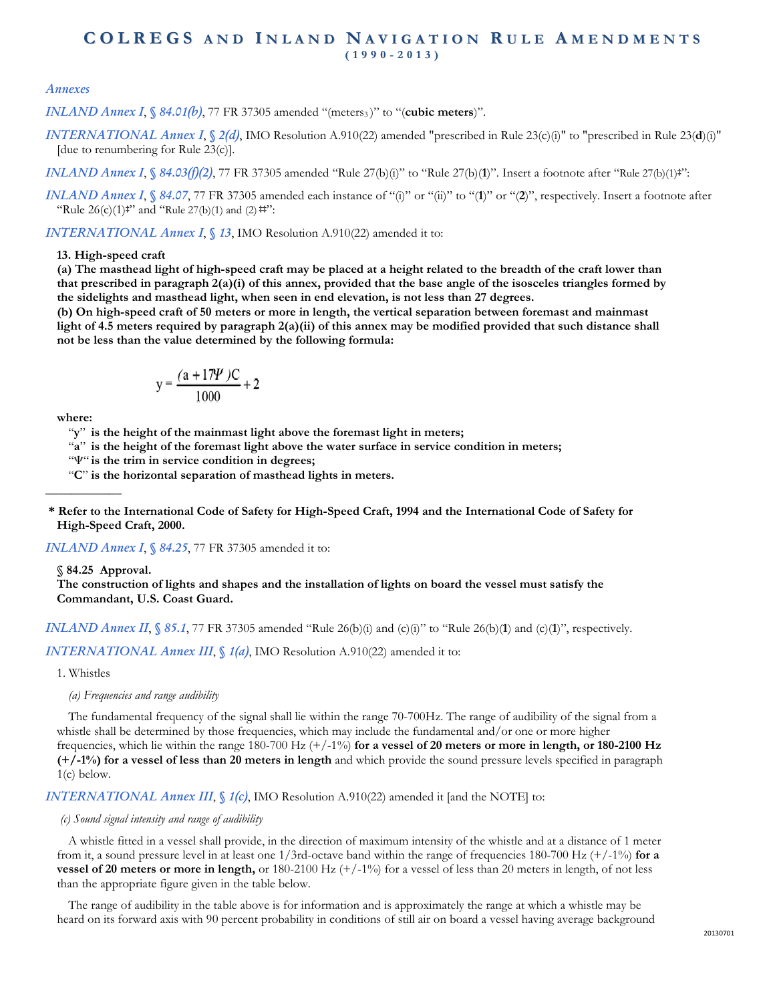#### *Annexes*

*INLAND Annex I*, *§ 84.01(b)*, 77 FR 37305 amended "(meters<sub>3</sub>)" to "(cubic meters)".

*INTERNATIONAL Annex I*, *§ 2(d)*, IMO Resolution A.910(22) amended "prescribed in Rule 23(c)(i)" to "prescribed in Rule 23(**d**)(i)" [due to renumbering for Rule 23(c)].

*INLAND Annex I*, *§ 84.03(f)(2)*, 77 FR 37305 amended "Rule 27(b)(i)" to "Rule 27(b)(**1**)". Insert a footnote after "Rule 27(b)(1)**‡**":

*INLAND Annex I*, *§ 84.07*, 77 FR 37305 amended each instance of "(i)" or "(ii)" or "(2)", respectively. Insert a footnote after "Rule 26(c)(1)**‡**" and "Rule 27(b)(1) and (2) **‡‡**":

*INTERNATIONAL Annex I*, *§ 13*, IMO Resolution A.910(22) amended it to:

#### **13. High-speed craft**

**(a) The masthead light of high-speed craft may be placed at a height related to the breadth of the craft lower than that prescribed in paragraph 2(a)(i) of this annex, provided that the base angle of the isosceles triangles formed by the sidelights and masthead light, when seen in end elevation, is not less than 27 degrees.**

**(b) On high-speed craft of 50 meters or more in length, the vertical separation between foremast and mainmast light of 4.5 meters required by paragraph 2(a)(ii) of this annex may be modified provided that such distance shall not be less than the value determined by the following formula:**

$$
y = \frac{(a + 17\Psi)C}{1000} + 2
$$

**where:** 

**\_\_\_\_\_\_\_\_\_\_\_\_**

"**y**" **is the height of the mainmast light above the foremast light in meters;** 

"**a**" **is the height of the foremast light above the water surface in service condition in meters;** 

" $\Psi$ " is the trim in service condition in degrees;

"**C**" **is the horizontal separation of masthead lights in meters.** 

**\* Refer to the International Code of Safety for High-Speed Craft, 1994 and the International Code of Safety for High-Speed Craft, 2000.**

*INLAND Annex I, § 84.25, 77 FR 37305 amended it to:* 

**§ 84.25 Approval.**

**The construction of lights and shapes and the installation of lights on board the vessel must satisfy the Commandant, U.S. Coast Guard.**

*INLAND Annex II*,  $\sqrt{85.1}$ , 77 FR 37305 amended "Rule 26(b)(i) and (c)(i)" to "Rule 26(b)(1) and (c)(1)", respectively.

*INTERNATIONAL Annex III*, *§ 1(a)*, IMO Resolution A.910(22) amended it to:

1. Whistles

*(a) Frequencies and range audibility*

The fundamental frequency of the signal shall lie within the range 70-700Hz. The range of audibility of the signal from a whistle shall be determined by those frequencies, which may include the fundamental and/or one or more higher frequencies, which lie within the range 180-700 Hz (+/-1%) **for a vessel of 20 meters or more in length, or 180-2100 Hz (+/-1%) for a vessel of less than 20 meters in length** and which provide the sound pressure levels specified in paragraph  $1(c)$  below.

*INTERNATIONAL Annex III*, *§ 1(c)*, IMO Resolution A.910(22) amended it [and the NOTE] to:

#### *(c) Sound signal intensity and range of audibility*

A whistle fitted in a vessel shall provide, in the direction of maximum intensity of the whistle and at a distance of 1 meter from it, a sound pressure level in at least one 1/3rd-octave band within the range of frequencies 180-700 Hz (+/-1%) **for a vessel of 20 meters or more in length,** or 180-2100 Hz (+/-1%) for a vessel of less than 20 meters in length, of not less than the appropriate figure given in the table below.

The range of audibility in the table above is for information and is approximately the range at which a whistle may be heard on its forward axis with 90 percent probability in conditions of still air on board a vessel having average background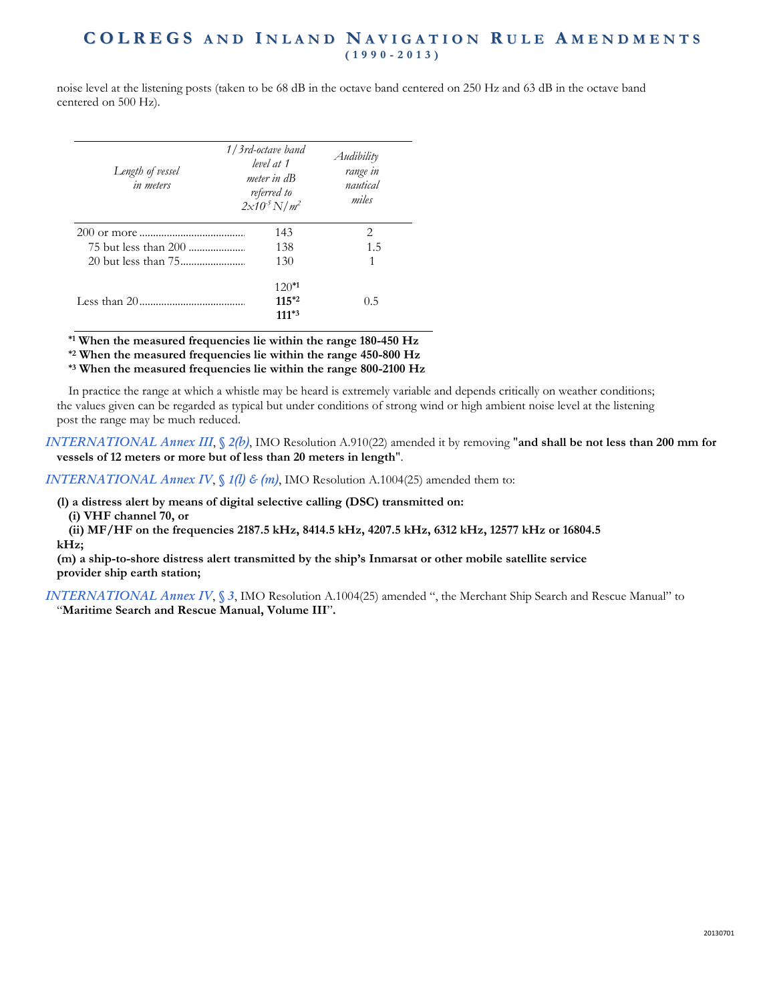noise level at the listening posts (taken to be 68 dB in the octave band centered on 250 Hz and 63 dB in the octave band centered on 500 Hz).

| Length of vessel<br>in meters | 1/3rd-octave band<br>level at 1<br>meter in dB<br>referred to<br>$2x10^5 N/m^2$ | Audibility<br>range in<br>nautical<br>miles |
|-------------------------------|---------------------------------------------------------------------------------|---------------------------------------------|
|                               | 143                                                                             | 2                                           |
|                               | 138                                                                             | 1.5                                         |
|                               | 130                                                                             | 1                                           |
|                               | $120*1$                                                                         |                                             |
|                               | $11.5*2$                                                                        | 0.5                                         |
|                               | 111*3                                                                           |                                             |

**\*1 When the measured frequencies lie within the range 180-450 Hz**

**\*2 When the measured frequencies lie within the range 450-800 Hz**

**\*3 When the measured frequencies lie within the range 800-2100 Hz**

In practice the range at which a whistle may be heard is extremely variable and depends critically on weather conditions; the values given can be regarded as typical but under conditions of strong wind or high ambient noise level at the listening post the range may be much reduced.

*INTERNATIONAL Annex III*, *§ 2(b)*, IMO Resolution A.910(22) amended it by removing "**and shall be not less than 200 mm for vessels of 12 meters or more but of less than 20 meters in length**".

*INTERNATIONAL Annex IV*,  $\binom{f}{k}$  *(m)*, IMO Resolution A.1004(25) amended them to:

**(l) a distress alert by means of digital selective calling (DSC) transmitted on:**

**(i) VHF channel 70, or**

**(ii) MF/HF on the frequencies 2187.5 kHz, 8414.5 kHz, 4207.5 kHz, 6312 kHz, 12577 kHz or 16804.5 kHz;**

**(m) a ship-to-shore distress alert transmitted by the ship's Inmarsat or other mobile satellite service provider ship earth station;** 

*INTERNATIONAL Annex IV*, *§ 3*, IMO Resolution A.1004(25) amended ", the Merchant Ship Search and Rescue Manual" to "**Maritime Search and Rescue Manual, Volume III**"**.**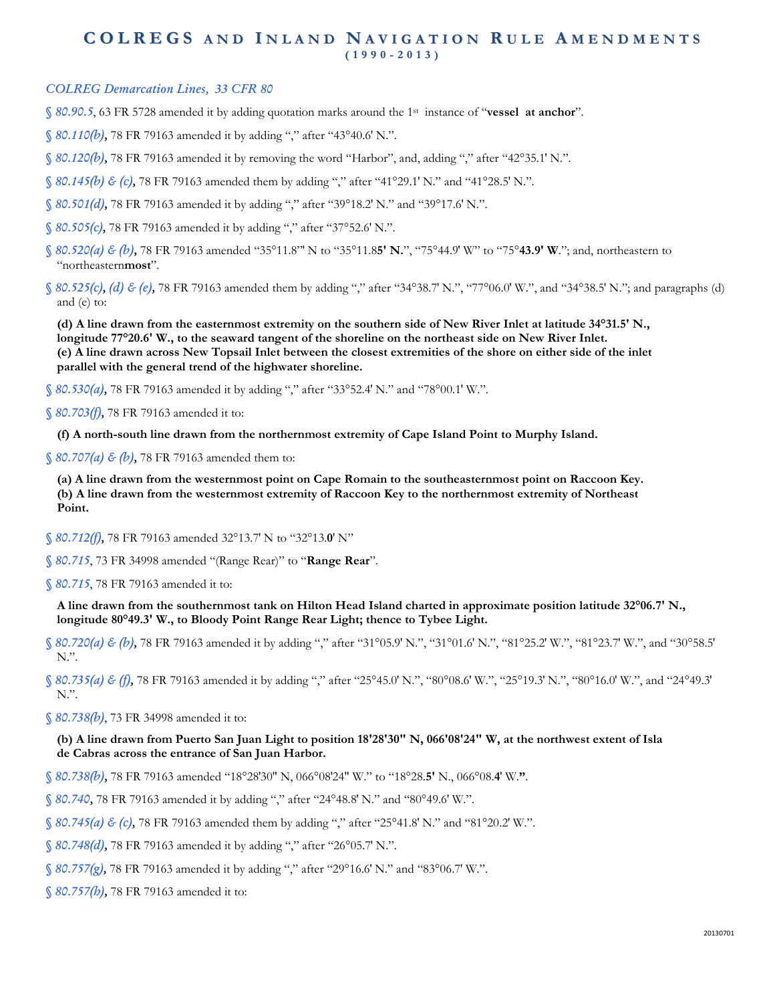### *COLREG Demarcation Lines, 33 CFR 80*

*§ 80.90.5*, 63 FR 5728 amended it by adding quotation marks around the 1st instance of "**vessel at anchor**".

*§ 80.110(b),* 78 FR 79163 amended it by adding "," after "43°40.6′ N.".

- *§ 80.120(b),* 78 FR 79163 amended it by removing the word "Harbor", and, adding "," after "42°35.1′ N.".
- *§ 80.145(b) & (c),* 78 FR 79163 amended them by adding "," after "41°29.1′ N." and "41°28.5′ N.".
- *§ 80.501(d),* 78 FR 79163 amended it by adding "," after "39°18.2′ N." and "39°17.6′ N.".
- *§ 80.505(c),* 78 FR 79163 amended it by adding "," after "37°52.6′ N.".
- *§ 80.520(a) & (b),* 78 FR 79163 amended "35°11.8"′ N to "35°11.8**5′ N.**", "75°44.9′ W" to "75°**43.9′ W**."; and, northeastern to "northeastern**most**".
- *§ 80.525(c), (d) & (e),* 78 FR 79163 amended them by adding "," after "34°38.7′ N.", "77°06.0′ W.", and "34°38.5′ N."; and paragraphs (d) and (e) to:

**(d) A line drawn from the easternmost extremity on the southern side of New River Inlet at latitude 34°31.5′ N., longitude 77°20.6′ W., to the seaward tangent of the shoreline on the northeast side on New River Inlet. (e) A line drawn across New Topsail Inlet between the closest extremities of the shore on either side of the inlet parallel with the general trend of the highwater shoreline.**

*§ 80.530(a),* 78 FR 79163 amended it by adding "," after "33°52.4′ N." and "78°00.1′ W.".

*§ 80.703(f),* 78 FR 79163 amended it to:

**(f) A north-south line drawn from the northernmost extremity of Cape Island Point to Murphy Island.**

*§ 80.707(a) & (b),* 78 FR 79163 amended them to:

**(a) A line drawn from the westernmost point on Cape Romain to the southeasternmost point on Raccoon Key. (b) A line drawn from the westernmost extremity of Raccoon Key to the northernmost extremity of Northeast Point.**

*§ 80.712(f),* 78 FR 79163 amended 32°13.7′ N to "32°13.**0**′ N"

*§ 80.715*, 73 FR 34998 amended "(Range Rear)" to "**Range Rear**".

*§ 80.715*, 78 FR 79163 amended it to:

**A line drawn from the southernmost tank on Hilton Head Island charted in approximate position latitude 32°06.7′ N., longitude 80°49.3′ W., to Bloody Point Range Rear Light; thence to Tybee Light.**

*§ 80.720(a) & (b),* 78 FR 79163 amended it by adding "," after "31°05.9′ N.", "31°01.6′ N.", "81°25.2′ W.", "81°23.7′ W.", and "30°58.5′ N.".

*§ 80.735(a) & (f),* 78 FR 79163 amended it by adding "," after "25°45.0′ N.", "80°08.6′ W.", "25°19.3′ N.", "80°16.0′ W.", and "24°49.3′ N.".

*§ 80.738(b)*, 73 FR 34998 amended it to:

#### **(b) A line drawn from Puerto San Juan Light to position 18'28'30" N, 066'08'24" W, at the northwest extent of Isla de Cabras across the entrance of San Juan Harbor.**

- *§ 80.738(b),* 78 FR 79163 amended "18°28′30″ N, 066°08′24″ W." to "18°28.**5′** N., 066°08.**4**′ W.**"**.
- *§ 80.740,* 78 FR 79163 amended it by adding "," after "24°48.8′ N." and "80°49.6′ W.".
- *§ 80.745(a) & (c),* 78 FR 79163 amended them by adding "," after "25°41.8′ N." and "81°20.2′ W.".
- *§ 80.748(d),* 78 FR 79163 amended it by adding "," after "26°05.7′ N.".
- *§ 80.757(g),* 78 FR 79163 amended it by adding "," after "29°16.6′ N." and "83°06.7′ W.".
- *§ 80.757(h),* 78 FR 79163 amended it to: